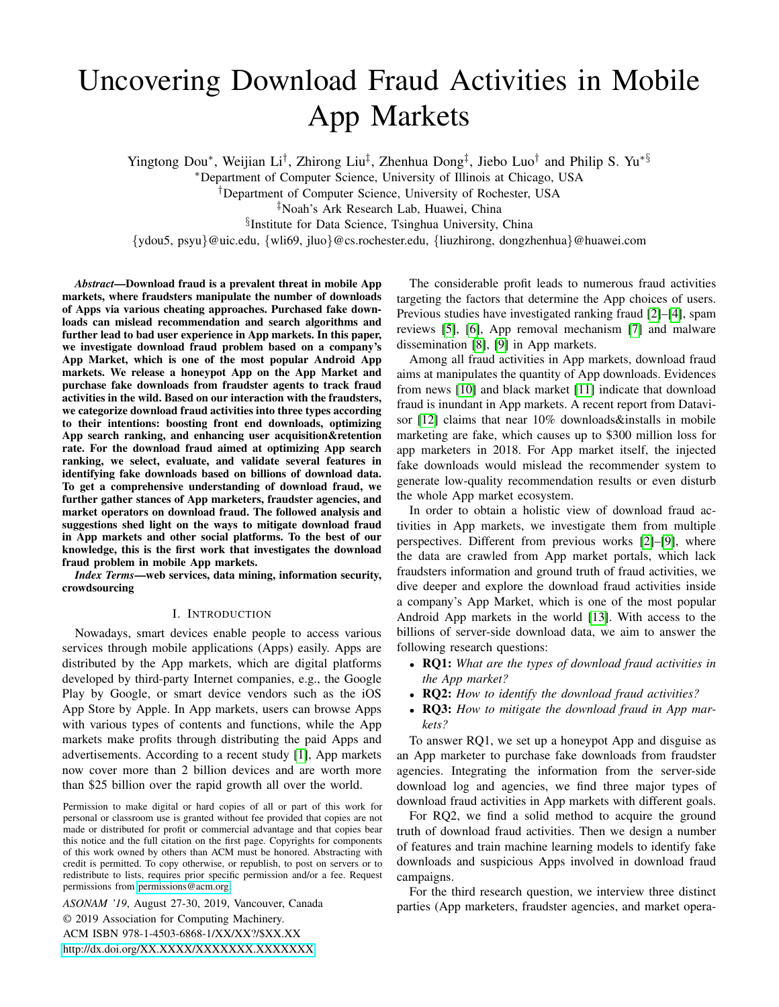# <span id="page-0-0"></span>Uncovering Download Fraud Activities in Mobile App Markets

Yingtong Dou\*, Weijian Li<sup>†</sup>, Zhirong Liu<sup>‡</sup>, Zhenhua Dong<sup>‡</sup>, Jiebo Luo<sup>†</sup> and Philip S. Yu<sup>∗§</sup>

<sup>∗</sup>Department of Computer Science, University of Illinois at Chicago, USA

†Department of Computer Science, University of Rochester, USA

‡Noah's Ark Research Lab, Huawei, China

§ Institute for Data Science, Tsinghua University, China

{ydou5, psyu}@uic.edu, {wli69, jluo}@cs.rochester.edu, {liuzhirong, dongzhenhua}@huawei.com

*Abstract*—Download fraud is a prevalent threat in mobile App markets, where fraudsters manipulate the number of downloads of Apps via various cheating approaches. Purchased fake downloads can mislead recommendation and search algorithms and further lead to bad user experience in App markets. In this paper, we investigate download fraud problem based on a company's App Market, which is one of the most popular Android App markets. We release a honeypot App on the App Market and purchase fake downloads from fraudster agents to track fraud activities in the wild. Based on our interaction with the fraudsters, we categorize download fraud activities into three types according to their intentions: boosting front end downloads, optimizing App search ranking, and enhancing user acquisition&retention rate. For the download fraud aimed at optimizing App search ranking, we select, evaluate, and validate several features in identifying fake downloads based on billions of download data. To get a comprehensive understanding of download fraud, we further gather stances of App marketers, fraudster agencies, and market operators on download fraud. The followed analysis and suggestions shed light on the ways to mitigate download fraud in App markets and other social platforms. To the best of our knowledge, this is the first work that investigates the download fraud problem in mobile App markets.

*Index Terms*—web services, data mining, information security, crowdsourcing

## I. INTRODUCTION

Nowadays, smart devices enable people to access various services through mobile applications (Apps) easily. Apps are distributed by the App markets, which are digital platforms developed by third-party Internet companies, e.g., the Google Play by Google, or smart device vendors such as the iOS App Store by Apple. In App markets, users can browse Apps with various types of contents and functions, while the App markets make profits through distributing the paid Apps and advertisements. According to a recent study [\[1\]](#page-7-0), App markets now cover more than 2 billion devices and are worth more than \$25 billion over the rapid growth all over the world.

Permission to make digital or hard copies of all or part of this work for personal or classroom use is granted without fee provided that copies are not made or distributed for profit or commercial advantage and that copies bear this notice and the full citation on the first page. Copyrights for components of this work owned by others than ACM must be honored. Abstracting with credit is permitted. To copy otherwise, or republish, to post on servers or to redistribute to lists, requires prior specific permission and/or a fee. Request permissions from [permissions@acm.org.](mailto:permissions@acm.org)

*ASONAM '19*, August 27-30, 2019, Vancouver, Canada © 2019 Association for Computing Machinery. ACM ISBN 978-1-4503-6868-1/XX/XX?/\$XX.XX <http://dx.doi.org/XX.XXXX/XXXXXXX.XXXXXXX>

The considerable profit leads to numerous fraud activities targeting the factors that determine the App choices of users. Previous studies have investigated ranking fraud [\[2\]](#page-7-1)–[\[4\]](#page-7-2), spam reviews [\[5\]](#page-7-3), [\[6\]](#page-7-4), App removal mechanism [\[7\]](#page-7-5) and malware dissemination [\[8\]](#page-7-6), [\[9\]](#page-7-7) in App markets.

Among all fraud activities in App markets, download fraud aims at manipulates the quantity of App downloads. Evidences from news [\[10\]](#page-7-8) and black market [\[11\]](#page-7-9) indicate that download fraud is inundant in App markets. A recent report from Datavi-sor [\[12\]](#page-7-10) claims that near 10% downloads&installs in mobile marketing are fake, which causes up to \$300 million loss for app marketers in 2018. For App market itself, the injected fake downloads would mislead the recommender system to generate low-quality recommendation results or even disturb the whole App market ecosystem.

In order to obtain a holistic view of download fraud activities in App markets, we investigate them from multiple perspectives. Different from previous works [\[2\]](#page-7-1)–[\[9\]](#page-7-7), where the data are crawled from App market portals, which lack fraudsters information and ground truth of fraud activities, we dive deeper and explore the download fraud activities inside a company's App Market, which is one of the most popular Android App markets in the world [\[13\]](#page-7-11). With access to the billions of server-side download data, we aim to answer the following research questions:

- RQ1: *What are the types of download fraud activities in the App market?*
- RQ2: *How to identify the download fraud activities?*
- RQ3: *How to mitigate the download fraud in App markets?*

To answer RQ1, we set up a honeypot App and disguise as an App marketer to purchase fake downloads from fraudster agencies. Integrating the information from the server-side download log and agencies, we find three major types of download fraud activities in App markets with different goals.

For RQ2, we find a solid method to acquire the ground truth of download fraud activities. Then we design a number of features and train machine learning models to identify fake downloads and suspicious Apps involved in download fraud campaigns.

For the third research question, we interview three distinct parties (App marketers, fraudster agencies, and market opera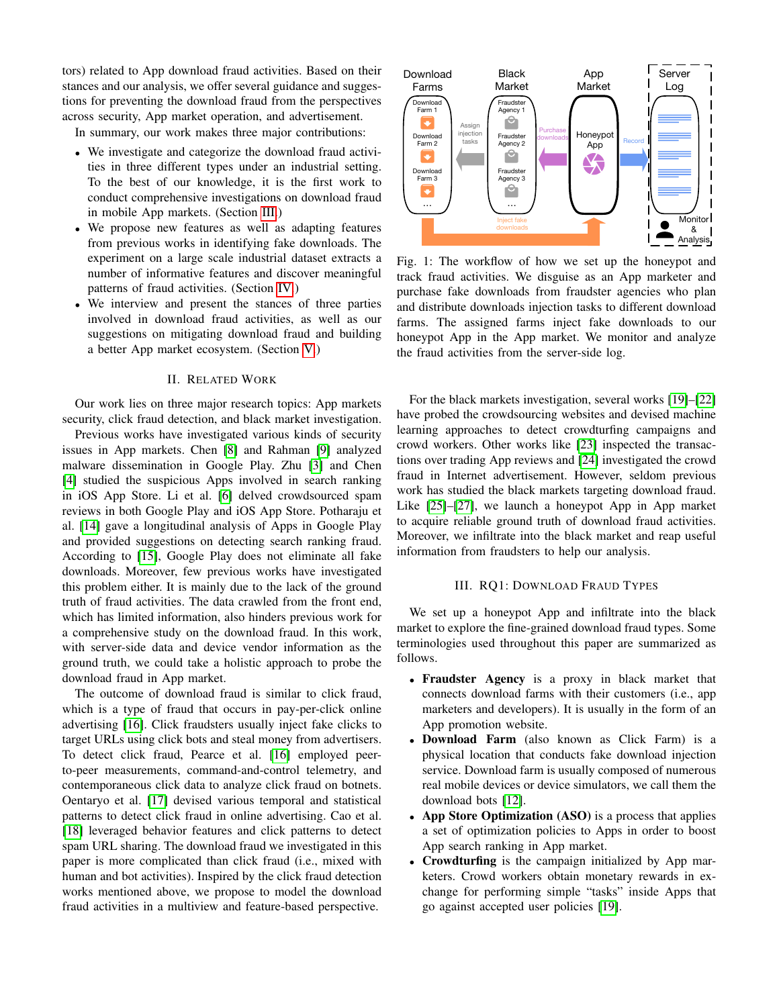tors) related to App download fraud activities. Based on their stances and our analysis, we offer several guidance and suggestions for preventing the download fraud from the perspectives across security, App market operation, and advertisement.

In summary, our work makes three major contributions:

- We investigate and categorize the download fraud activities in three different types under an industrial setting. To the best of our knowledge, it is the first work to conduct comprehensive investigations on download fraud in mobile App markets. (Section [III.](#page-1-0))
- We propose new features as well as adapting features from previous works in identifying fake downloads. The experiment on a large scale industrial dataset extracts a number of informative features and discover meaningful patterns of fraud activities. (Section [IV.](#page-3-0))
- We interview and present the stances of three parties involved in download fraud activities, as well as our suggestions on mitigating download fraud and building a better App market ecosystem. (Section [V.](#page-5-0))

#### II. RELATED WORK

Our work lies on three major research topics: App markets security, click fraud detection, and black market investigation.

Previous works have investigated various kinds of security issues in App markets. Chen [\[8\]](#page-7-6) and Rahman [\[9\]](#page-7-7) analyzed malware dissemination in Google Play. Zhu [\[3\]](#page-7-12) and Chen [\[4\]](#page-7-2) studied the suspicious Apps involved in search ranking in iOS App Store. Li et al. [\[6\]](#page-7-4) delved crowdsourced spam reviews in both Google Play and iOS App Store. Potharaju et al. [\[14\]](#page-7-13) gave a longitudinal analysis of Apps in Google Play and provided suggestions on detecting search ranking fraud. According to [\[15\]](#page-7-14), Google Play does not eliminate all fake downloads. Moreover, few previous works have investigated this problem either. It is mainly due to the lack of the ground truth of fraud activities. The data crawled from the front end, which has limited information, also hinders previous work for a comprehensive study on the download fraud. In this work, with server-side data and device vendor information as the ground truth, we could take a holistic approach to probe the download fraud in App market.

The outcome of download fraud is similar to click fraud, which is a type of fraud that occurs in pay-per-click online advertising [\[16\]](#page-7-15). Click fraudsters usually inject fake clicks to target URLs using click bots and steal money from advertisers. To detect click fraud, Pearce et al. [\[16\]](#page-7-15) employed peerto-peer measurements, command-and-control telemetry, and contemporaneous click data to analyze click fraud on botnets. Oentaryo et al. [\[17\]](#page-7-16) devised various temporal and statistical patterns to detect click fraud in online advertising. Cao et al. [\[18\]](#page-7-17) leveraged behavior features and click patterns to detect spam URL sharing. The download fraud we investigated in this paper is more complicated than click fraud (i.e., mixed with human and bot activities). Inspired by the click fraud detection works mentioned above, we propose to model the download fraud activities in a multiview and feature-based perspective.

<span id="page-1-1"></span>

Fig. 1: The workflow of how we set up the honeypot and track fraud activities. We disguise as an App marketer and purchase fake downloads from fraudster agencies who plan and distribute downloads injection tasks to different download farms. The assigned farms inject fake downloads to our honeypot App in the App market. We monitor and analyze the fraud activities from the server-side log.

For the black markets investigation, several works [\[19\]](#page-7-18)–[\[22\]](#page-7-19) have probed the crowdsourcing websites and devised machine learning approaches to detect crowdturfing campaigns and crowd workers. Other works like [\[23\]](#page-7-20) inspected the transactions over trading App reviews and [\[24\]](#page-7-21) investigated the crowd fraud in Internet advertisement. However, seldom previous work has studied the black markets targeting download fraud. Like [\[25\]](#page-7-22)–[\[27\]](#page-7-23), we launch a honeypot App in App market to acquire reliable ground truth of download fraud activities. Moreover, we infiltrate into the black market and reap useful information from fraudsters to help our analysis.

## III. RQ1: DOWNLOAD FRAUD TYPES

<span id="page-1-0"></span>We set up a honeypot App and infiltrate into the black market to explore the fine-grained download fraud types. Some terminologies used throughout this paper are summarized as follows.

- Fraudster Agency is a proxy in black market that connects download farms with their customers (i.e., app marketers and developers). It is usually in the form of an App promotion website.
- Download Farm (also known as Click Farm) is a physical location that conducts fake download injection service. Download farm is usually composed of numerous real mobile devices or device simulators, we call them the download bots [\[12\]](#page-7-10).
- App Store Optimization (ASO) is a process that applies a set of optimization policies to Apps in order to boost App search ranking in App market.
- Crowdturfing is the campaign initialized by App marketers. Crowd workers obtain monetary rewards in exchange for performing simple "tasks" inside Apps that go against accepted user policies [\[19\]](#page-7-18).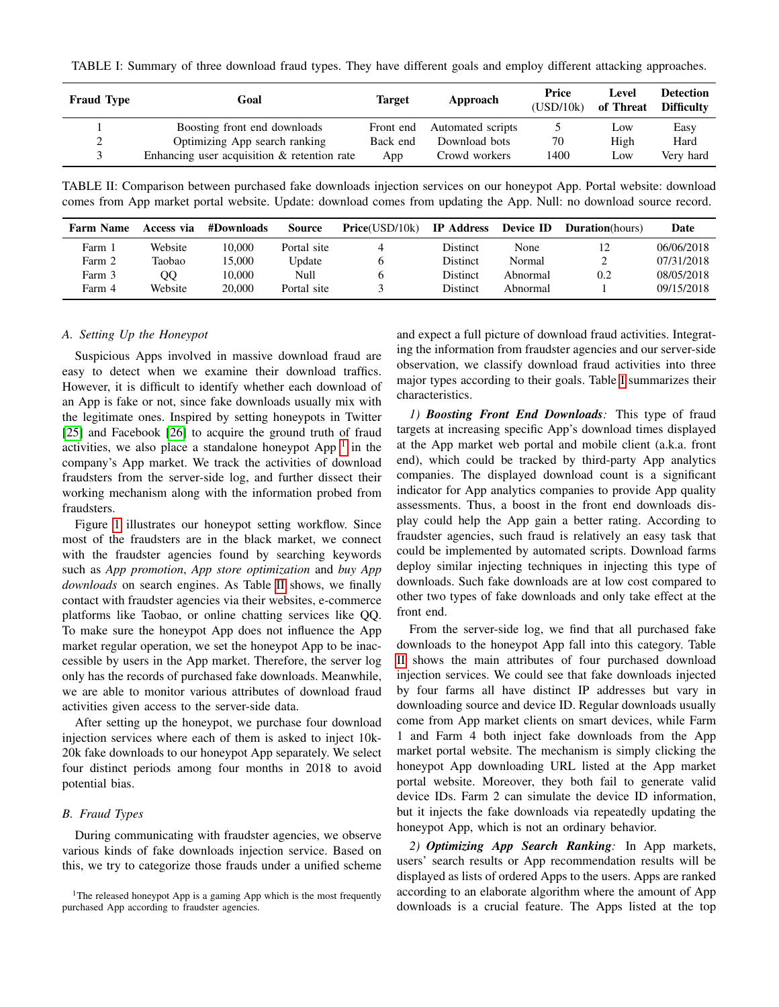<span id="page-2-1"></span>TABLE I: Summary of three download fraud types. They have different goals and employ different attacking approaches.

| <b>Fraud Type</b> | Goal                                        | Target    | Approach          | Price<br>(USD/10k) | Level<br>of Threat | <b>Detection</b><br><b>Difficulty</b> |
|-------------------|---------------------------------------------|-----------|-------------------|--------------------|--------------------|---------------------------------------|
|                   | Boosting front end downloads                | Front end | Automated scripts |                    | Low                | Easy                                  |
|                   | Optimizing App search ranking               | Back end  | Download bots     | 70                 | High               | Hard                                  |
|                   | Enhancing user acquisition & retention rate | App       | Crowd workers     | 1400               | Low                | Very hard                             |

<span id="page-2-0"></span>TABLE II: Comparison between purchased fake downloads injection services on our honeypot App. Portal website: download comes from App market portal website. Update: download comes from updating the App. Null: no download source record.

| <b>Farm Name</b> | Access via | #Downloads | <b>Source</b> | Price(USD/10k) | <b>IP</b> Address | Device ID | <b>Duration</b> (hours) | Date       |
|------------------|------------|------------|---------------|----------------|-------------------|-----------|-------------------------|------------|
| Farm 1           | Website    | 10.000     | Portal site   |                | Distinct          | None      | 12                      | 06/06/2018 |
| Farm 2           | Taobao     | 15.000     | Update        |                | <b>Distinct</b>   | Normal    |                         | 07/31/2018 |
| Farm 3           | OΟ         | 10.000     | Null          |                | <b>Distinct</b>   | Abnormal  | 0.2                     | 08/05/2018 |
| Farm 4           | Website    | 20,000     | Portal site   |                | Distinct          | Abnormal  |                         | 09/15/2018 |

#### *A. Setting Up the Honeypot*

Suspicious Apps involved in massive download fraud are easy to detect when we examine their download traffics. However, it is difficult to identify whether each download of an App is fake or not, since fake downloads usually mix with the legitimate ones. Inspired by setting honeypots in Twitter [\[25\]](#page-7-22) and Facebook [\[26\]](#page-7-24) to acquire the ground truth of fraud activities, we also place a standalone honeypot App  $1$  in the company's App market. We track the activities of download fraudsters from the server-side log, and further dissect their working mechanism along with the information probed from fraudsters.

Figure [1](#page-1-1) illustrates our honeypot setting workflow. Since most of the fraudsters are in the black market, we connect with the fraudster agencies found by searching keywords such as *App promotion*, *App store optimization* and *buy App downloads* on search engines. As Table [II](#page-2-0) shows, we finally contact with fraudster agencies via their websites, e-commerce platforms like Taobao, or online chatting services like QQ. To make sure the honeypot App does not influence the App market regular operation, we set the honeypot App to be inaccessible by users in the App market. Therefore, the server log only has the records of purchased fake downloads. Meanwhile, we are able to monitor various attributes of download fraud activities given access to the server-side data.

After setting up the honeypot, we purchase four download injection services where each of them is asked to inject 10k-20k fake downloads to our honeypot App separately. We select four distinct periods among four months in 2018 to avoid potential bias.

## *B. Fraud Types*

During communicating with fraudster agencies, we observe various kinds of fake downloads injection service. Based on this, we try to categorize those frauds under a unified scheme

and expect a full picture of download fraud activities. Integrating the information from fraudster agencies and our server-side observation, we classify download fraud activities into three major types according to their goals. Table [I](#page-2-1) summarizes their characteristics.

*1) Boosting Front End Downloads:* This type of fraud targets at increasing specific App's download times displayed at the App market web portal and mobile client (a.k.a. front end), which could be tracked by third-party App analytics companies. The displayed download count is a significant indicator for App analytics companies to provide App quality assessments. Thus, a boost in the front end downloads display could help the App gain a better rating. According to fraudster agencies, such fraud is relatively an easy task that could be implemented by automated scripts. Download farms deploy similar injecting techniques in injecting this type of downloads. Such fake downloads are at low cost compared to other two types of fake downloads and only take effect at the front end.

From the server-side log, we find that all purchased fake downloads to the honeypot App fall into this category. Table [II](#page-2-0) shows the main attributes of four purchased download injection services. We could see that fake downloads injected by four farms all have distinct IP addresses but vary in downloading source and device ID. Regular downloads usually come from App market clients on smart devices, while Farm 1 and Farm 4 both inject fake downloads from the App market portal website. The mechanism is simply clicking the honeypot App downloading URL listed at the App market portal website. Moreover, they both fail to generate valid device IDs. Farm 2 can simulate the device ID information, but it injects the fake downloads via repeatedly updating the honeypot App, which is not an ordinary behavior.

*2) Optimizing App Search Ranking:* In App markets, users' search results or App recommendation results will be displayed as lists of ordered Apps to the users. Apps are ranked according to an elaborate algorithm where the amount of App downloads is a crucial feature. The Apps listed at the top

<sup>&</sup>lt;sup>1</sup>The released honeypot App is a gaming App which is the most frequently purchased App according to fraudster agencies.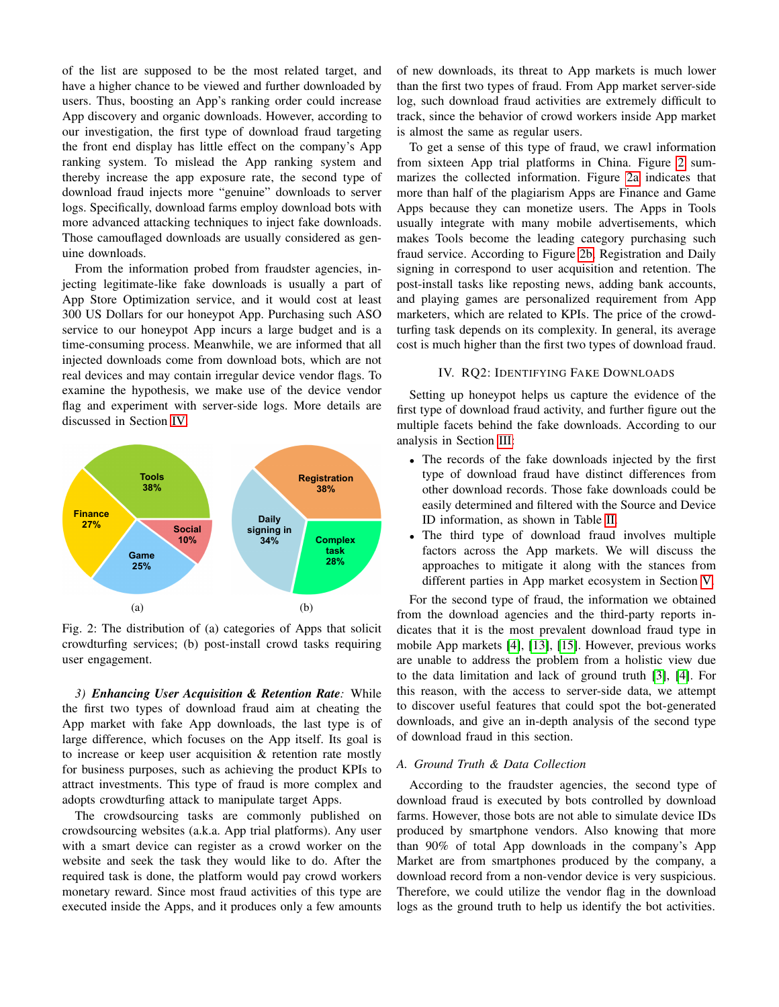of the list are supposed to be the most related target, and have a higher chance to be viewed and further downloaded by users. Thus, boosting an App's ranking order could increase App discovery and organic downloads. However, according to our investigation, the first type of download fraud targeting the front end display has little effect on the company's App ranking system. To mislead the App ranking system and thereby increase the app exposure rate, the second type of download fraud injects more "genuine" downloads to server logs. Specifically, download farms employ download bots with more advanced attacking techniques to inject fake downloads. Those camouflaged downloads are usually considered as genuine downloads.

From the information probed from fraudster agencies, injecting legitimate-like fake downloads is usually a part of App Store Optimization service, and it would cost at least 300 US Dollars for our honeypot App. Purchasing such ASO service to our honeypot App incurs a large budget and is a time-consuming process. Meanwhile, we are informed that all injected downloads come from download bots, which are not real devices and may contain irregular device vendor flags. To examine the hypothesis, we make use of the device vendor flag and experiment with server-side logs. More details are discussed in Section [IV.](#page-3-0)

<span id="page-3-1"></span>

Fig. 2: The distribution of (a) categories of Apps that solicit crowdturfing services; (b) post-install crowd tasks requiring user engagement.

*3) Enhancing User Acquisition & Retention Rate:* While the first two types of download fraud aim at cheating the App market with fake App downloads, the last type is of large difference, which focuses on the App itself. Its goal is to increase or keep user acquisition & retention rate mostly for business purposes, such as achieving the product KPIs to attract investments. This type of fraud is more complex and adopts crowdturfing attack to manipulate target Apps.

The crowdsourcing tasks are commonly published on crowdsourcing websites (a.k.a. App trial platforms). Any user with a smart device can register as a crowd worker on the website and seek the task they would like to do. After the required task is done, the platform would pay crowd workers monetary reward. Since most fraud activities of this type are executed inside the Apps, and it produces only a few amounts of new downloads, its threat to App markets is much lower than the first two types of fraud. From App market server-side log, such download fraud activities are extremely difficult to track, since the behavior of crowd workers inside App market is almost the same as regular users.

To get a sense of this type of fraud, we crawl information from sixteen App trial platforms in China. Figure [2](#page-3-1) summarizes the collected information. Figure [2a](#page-3-1) indicates that more than half of the plagiarism Apps are Finance and Game Apps because they can monetize users. The Apps in Tools usually integrate with many mobile advertisements, which makes Tools become the leading category purchasing such fraud service. According to Figure [2b,](#page-3-1) Registration and Daily signing in correspond to user acquisition and retention. The post-install tasks like reposting news, adding bank accounts, and playing games are personalized requirement from App marketers, which are related to KPIs. The price of the crowdturfing task depends on its complexity. In general, its average cost is much higher than the first two types of download fraud.

## IV. RQ2: IDENTIFYING FAKE DOWNLOADS

<span id="page-3-0"></span>Setting up honeypot helps us capture the evidence of the first type of download fraud activity, and further figure out the multiple facets behind the fake downloads. According to our analysis in Section [III:](#page-1-0)

- The records of the fake downloads injected by the first type of download fraud have distinct differences from other download records. Those fake downloads could be easily determined and filtered with the Source and Device ID information, as shown in Table [II.](#page-2-0)
- The third type of download fraud involves multiple factors across the App markets. We will discuss the approaches to mitigate it along with the stances from different parties in App market ecosystem in Section [V.](#page-5-0)

For the second type of fraud, the information we obtained from the download agencies and the third-party reports indicates that it is the most prevalent download fraud type in mobile App markets [\[4\]](#page-7-2), [\[13\]](#page-7-11), [\[15\]](#page-7-14). However, previous works are unable to address the problem from a holistic view due to the data limitation and lack of ground truth [\[3\]](#page-7-12), [\[4\]](#page-7-2). For this reason, with the access to server-side data, we attempt to discover useful features that could spot the bot-generated downloads, and give an in-depth analysis of the second type of download fraud in this section.

# *A. Ground Truth & Data Collection*

According to the fraudster agencies, the second type of download fraud is executed by bots controlled by download farms. However, those bots are not able to simulate device IDs produced by smartphone vendors. Also knowing that more than 90% of total App downloads in the company's App Market are from smartphones produced by the company, a download record from a non-vendor device is very suspicious. Therefore, we could utilize the vendor flag in the download logs as the ground truth to help us identify the bot activities.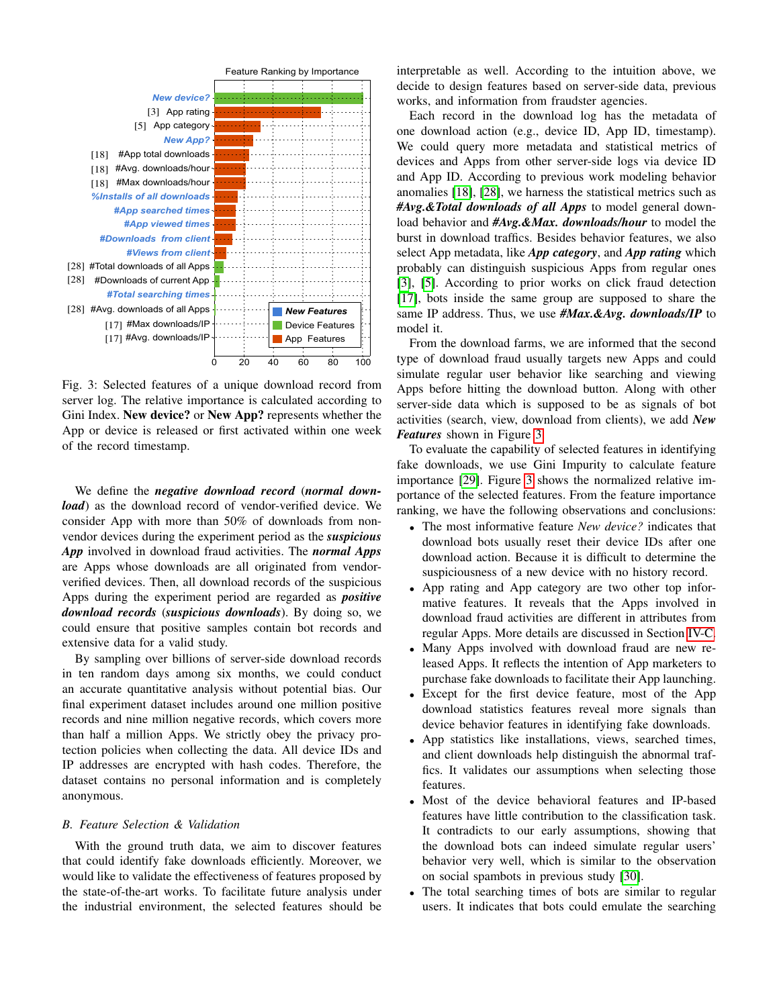<span id="page-4-0"></span>

Fig. 3: Selected features of a unique download record from server log. The relative importance is calculated according to Gini Index. New device? or New App? represents whether the App or device is released or first activated within one week of the record timestamp.

We define the *negative download record* (*normal download*) as the download record of vendor-verified device. We consider App with more than 50% of downloads from nonvendor devices during the experiment period as the *suspicious App* involved in download fraud activities. The *normal Apps* are Apps whose downloads are all originated from vendorverified devices. Then, all download records of the suspicious Apps during the experiment period are regarded as *positive download records* (*suspicious downloads*). By doing so, we could ensure that positive samples contain bot records and extensive data for a valid study.

By sampling over billions of server-side download records in ten random days among six months, we could conduct an accurate quantitative analysis without potential bias. Our final experiment dataset includes around one million positive records and nine million negative records, which covers more than half a million Apps. We strictly obey the privacy protection policies when collecting the data. All device IDs and IP addresses are encrypted with hash codes. Therefore, the dataset contains no personal information and is completely anonymous.

#### *B. Feature Selection & Validation*

With the ground truth data, we aim to discover features that could identify fake downloads efficiently. Moreover, we would like to validate the effectiveness of features proposed by the state-of-the-art works. To facilitate future analysis under the industrial environment, the selected features should be interpretable as well. According to the intuition above, we decide to design features based on server-side data, previous works, and information from fraudster agencies.

Each record in the download log has the metadata of one download action (e.g., device ID, App ID, timestamp). We could query more metadata and statistical metrics of devices and Apps from other server-side logs via device ID and App ID. According to previous work modeling behavior anomalies [\[18\]](#page-7-17), [\[28\]](#page-7-25), we harness the statistical metrics such as *#Avg.&Total downloads of all Apps* to model general download behavior and *#Avg.&Max. downloads/hour* to model the burst in download traffics. Besides behavior features, we also select App metadata, like *App category*, and *App rating* which probably can distinguish suspicious Apps from regular ones [\[3\]](#page-7-12), [\[5\]](#page-7-3). According to prior works on click fraud detection [\[17\]](#page-7-16), bots inside the same group are supposed to share the same IP address. Thus, we use *#Max.&Avg. downloads/IP* to model it.

From the download farms, we are informed that the second type of download fraud usually targets new Apps and could simulate regular user behavior like searching and viewing Apps before hitting the download button. Along with other server-side data which is supposed to be as signals of bot activities (search, view, download from clients), we add *New Features* shown in Figure [3.](#page-4-0)

To evaluate the capability of selected features in identifying fake downloads, we use Gini Impurity to calculate feature importance [\[29\]](#page-7-26). Figure [3](#page-4-0) shows the normalized relative importance of the selected features. From the feature importance ranking, we have the following observations and conclusions:

- The most informative feature *New device?* indicates that download bots usually reset their device IDs after one download action. Because it is difficult to determine the suspiciousness of a new device with no history record.
- App rating and App category are two other top informative features. It reveals that the Apps involved in download fraud activities are different in attributes from regular Apps. More details are discussed in Section [IV-C.](#page-5-1)
- Many Apps involved with download fraud are new released Apps. It reflects the intention of App marketers to purchase fake downloads to facilitate their App launching.
- Except for the first device feature, most of the App download statistics features reveal more signals than device behavior features in identifying fake downloads.
- App statistics like installations, views, searched times, and client downloads help distinguish the abnormal traffics. It validates our assumptions when selecting those features.
- Most of the device behavioral features and IP-based features have little contribution to the classification task. It contradicts to our early assumptions, showing that the download bots can indeed simulate regular users' behavior very well, which is similar to the observation on social spambots in previous study [\[30\]](#page-7-27).
- The total searching times of bots are similar to regular users. It indicates that bots could emulate the searching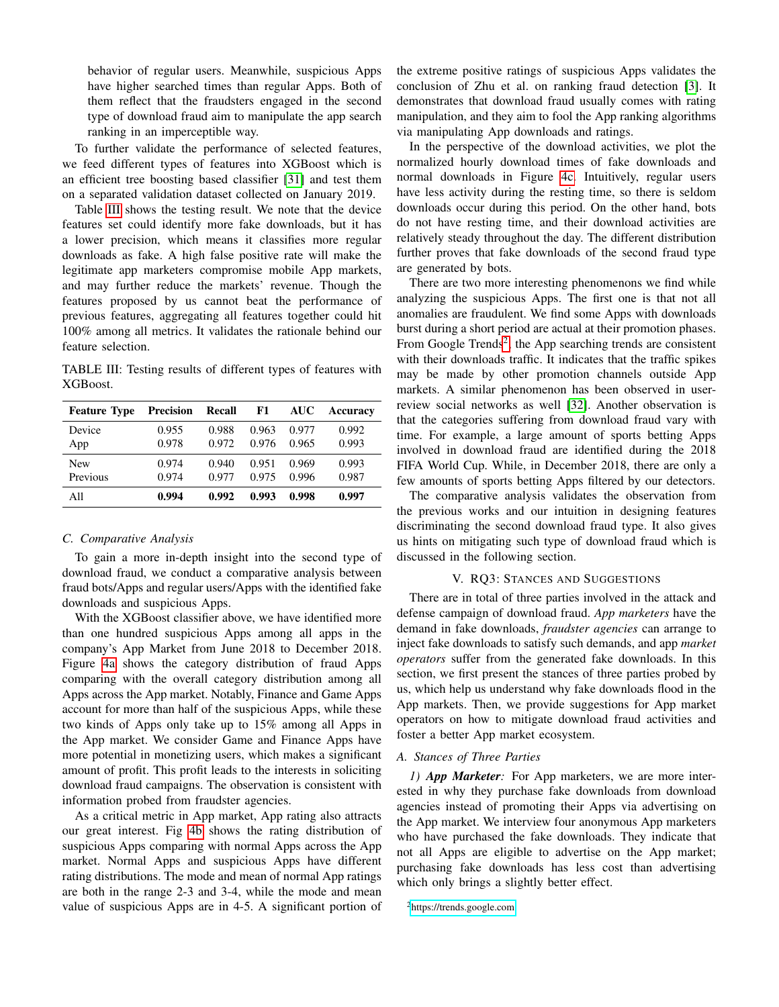behavior of regular users. Meanwhile, suspicious Apps have higher searched times than regular Apps. Both of them reflect that the fraudsters engaged in the second type of download fraud aim to manipulate the app search ranking in an imperceptible way.

To further validate the performance of selected features, we feed different types of features into XGBoost which is an efficient tree boosting based classifier [\[31\]](#page-7-28) and test them on a separated validation dataset collected on January 2019.

Table [III](#page-5-2) shows the testing result. We note that the device features set could identify more fake downloads, but it has a lower precision, which means it classifies more regular downloads as fake. A high false positive rate will make the legitimate app marketers compromise mobile App markets, and may further reduce the markets' revenue. Though the features proposed by us cannot beat the performance of previous features, aggregating all features together could hit 100% among all metrics. It validates the rationale behind our feature selection.

<span id="page-5-2"></span>TABLE III: Testing results of different types of features with XGBoost.

| <b>Feature Type</b> | <b>Precision</b> | Recall | F1    | <b>AUC</b> | Accuracy |
|---------------------|------------------|--------|-------|------------|----------|
| Device              | 0.955            | 0.988  | 0.963 | 0.977      | 0.992    |
| App                 | 0.978            | 0.972  | 0.976 | 0.965      | 0.993    |
| <b>New</b>          | 0.974            | 0.940  | 0.951 | 0.969      | 0.993    |
| Previous            | 0.974            | 0.977  | 0.975 | 0.996      | 0.987    |
| All                 | 0.994            | 0.992  | 0.993 | 0.998      | 0.997    |

## <span id="page-5-1"></span>*C. Comparative Analysis*

To gain a more in-depth insight into the second type of download fraud, we conduct a comparative analysis between fraud bots/Apps and regular users/Apps with the identified fake downloads and suspicious Apps.

With the XGBoost classifier above, we have identified more than one hundred suspicious Apps among all apps in the company's App Market from June 2018 to December 2018. Figure [4a](#page-6-0) shows the category distribution of fraud Apps comparing with the overall category distribution among all Apps across the App market. Notably, Finance and Game Apps account for more than half of the suspicious Apps, while these two kinds of Apps only take up to 15% among all Apps in the App market. We consider Game and Finance Apps have more potential in monetizing users, which makes a significant amount of profit. This profit leads to the interests in soliciting download fraud campaigns. The observation is consistent with information probed from fraudster agencies.

As a critical metric in App market, App rating also attracts our great interest. Fig [4b](#page-6-0) shows the rating distribution of suspicious Apps comparing with normal Apps across the App market. Normal Apps and suspicious Apps have different rating distributions. The mode and mean of normal App ratings are both in the range 2-3 and 3-4, while the mode and mean value of suspicious Apps are in 4-5. A significant portion of the extreme positive ratings of suspicious Apps validates the conclusion of Zhu et al. on ranking fraud detection [\[3\]](#page-7-12). It demonstrates that download fraud usually comes with rating manipulation, and they aim to fool the App ranking algorithms via manipulating App downloads and ratings.

In the perspective of the download activities, we plot the normalized hourly download times of fake downloads and normal downloads in Figure [4c.](#page-6-0) Intuitively, regular users have less activity during the resting time, so there is seldom downloads occur during this period. On the other hand, bots do not have resting time, and their download activities are relatively steady throughout the day. The different distribution further proves that fake downloads of the second fraud type are generated by bots.

There are two more interesting phenomenons we find while analyzing the suspicious Apps. The first one is that not all anomalies are fraudulent. We find some Apps with downloads burst during a short period are actual at their promotion phases. From Google Trends<sup>[2](#page-0-0)</sup>, the App searching trends are consistent with their downloads traffic. It indicates that the traffic spikes may be made by other promotion channels outside App markets. A similar phenomenon has been observed in userreview social networks as well [\[32\]](#page-7-29). Another observation is that the categories suffering from download fraud vary with time. For example, a large amount of sports betting Apps involved in download fraud are identified during the 2018 FIFA World Cup. While, in December 2018, there are only a few amounts of sports betting Apps filtered by our detectors.

The comparative analysis validates the observation from the previous works and our intuition in designing features discriminating the second download fraud type. It also gives us hints on mitigating such type of download fraud which is discussed in the following section.

## V. RQ3: STANCES AND SUGGESTIONS

<span id="page-5-0"></span>There are in total of three parties involved in the attack and defense campaign of download fraud. *App marketers* have the demand in fake downloads, *fraudster agencies* can arrange to inject fake downloads to satisfy such demands, and app *market operators* suffer from the generated fake downloads. In this section, we first present the stances of three parties probed by us, which help us understand why fake downloads flood in the App markets. Then, we provide suggestions for App market operators on how to mitigate download fraud activities and foster a better App market ecosystem.

# *A. Stances of Three Parties*

*1) App Marketer:* For App marketers, we are more interested in why they purchase fake downloads from download agencies instead of promoting their Apps via advertising on the App market. We interview four anonymous App marketers who have purchased the fake downloads. They indicate that not all Apps are eligible to advertise on the App market; purchasing fake downloads has less cost than advertising which only brings a slightly better effect.

<sup>2</sup><https://trends.google.com>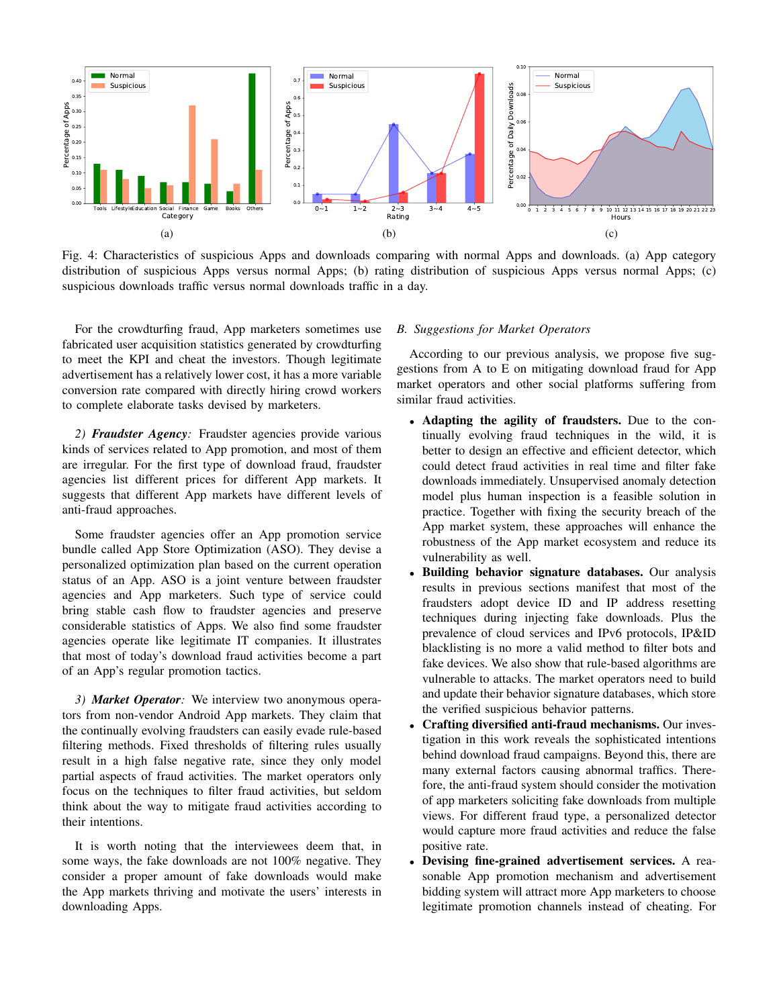<span id="page-6-0"></span>

Fig. 4: Characteristics of suspicious Apps and downloads comparing with normal Apps and downloads. (a) App category distribution of suspicious Apps versus normal Apps; (b) rating distribution of suspicious Apps versus normal Apps; (c) suspicious downloads traffic versus normal downloads traffic in a day.

For the crowdturfing fraud, App marketers sometimes use fabricated user acquisition statistics generated by crowdturfing to meet the KPI and cheat the investors. Though legitimate advertisement has a relatively lower cost, it has a more variable conversion rate compared with directly hiring crowd workers to complete elaborate tasks devised by marketers.

*2) Fraudster Agency:* Fraudster agencies provide various kinds of services related to App promotion, and most of them are irregular. For the first type of download fraud, fraudster agencies list different prices for different App markets. It suggests that different App markets have different levels of anti-fraud approaches.

Some fraudster agencies offer an App promotion service bundle called App Store Optimization (ASO). They devise a personalized optimization plan based on the current operation status of an App. ASO is a joint venture between fraudster agencies and App marketers. Such type of service could bring stable cash flow to fraudster agencies and preserve considerable statistics of Apps. We also find some fraudster agencies operate like legitimate IT companies. It illustrates that most of today's download fraud activities become a part of an App's regular promotion tactics.

*3) Market Operator:* We interview two anonymous operators from non-vendor Android App markets. They claim that the continually evolving fraudsters can easily evade rule-based filtering methods. Fixed thresholds of filtering rules usually result in a high false negative rate, since they only model partial aspects of fraud activities. The market operators only focus on the techniques to filter fraud activities, but seldom think about the way to mitigate fraud activities according to their intentions.

It is worth noting that the interviewees deem that, in some ways, the fake downloads are not 100% negative. They consider a proper amount of fake downloads would make the App markets thriving and motivate the users' interests in downloading Apps.

## *B. Suggestions for Market Operators*

According to our previous analysis, we propose five suggestions from A to E on mitigating download fraud for App market operators and other social platforms suffering from similar fraud activities.

- Adapting the agility of fraudsters. Due to the continually evolving fraud techniques in the wild, it is better to design an effective and efficient detector, which could detect fraud activities in real time and filter fake downloads immediately. Unsupervised anomaly detection model plus human inspection is a feasible solution in practice. Together with fixing the security breach of the App market system, these approaches will enhance the robustness of the App market ecosystem and reduce its vulnerability as well.
- Building behavior signature databases. Our analysis results in previous sections manifest that most of the fraudsters adopt device ID and IP address resetting techniques during injecting fake downloads. Plus the prevalence of cloud services and IPv6 protocols, IP&ID blacklisting is no more a valid method to filter bots and fake devices. We also show that rule-based algorithms are vulnerable to attacks. The market operators need to build and update their behavior signature databases, which store the verified suspicious behavior patterns.
- Crafting diversified anti-fraud mechanisms. Our investigation in this work reveals the sophisticated intentions behind download fraud campaigns. Beyond this, there are many external factors causing abnormal traffics. Therefore, the anti-fraud system should consider the motivation of app marketers soliciting fake downloads from multiple views. For different fraud type, a personalized detector would capture more fraud activities and reduce the false positive rate.
- Devising fine-grained advertisement services. A reasonable App promotion mechanism and advertisement bidding system will attract more App marketers to choose legitimate promotion channels instead of cheating. For